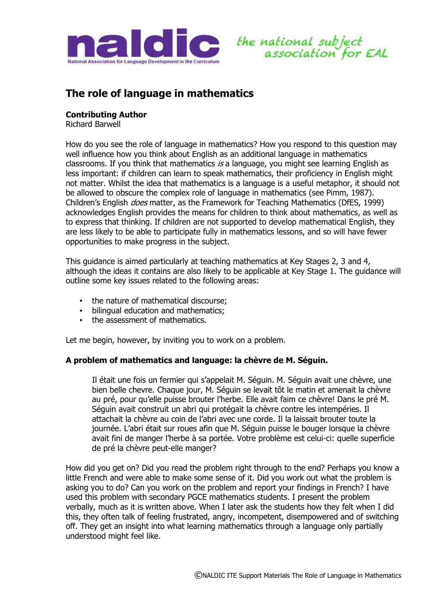



# **The role of language in mathematics**

## **Contributing Author**

Richard Barwell

How do you see the role of language in mathematics? How you respond to this question may well influence how you think about English as an additional language in mathematics classrooms. If you think that mathematics  $is$  a language, you might see learning English as less important: if children can learn to speak mathematics, their proficiency in English might not matter. Whilst the idea that mathematics is a language is a useful metaphor, it should not be allowed to obscure the complex role of language in mathematics (see Pimm, 1987). Children's English *does* matter, as the Framework for Teaching Mathematics (DfES, 1999) acknowledges English provides the means for children to think about mathematics, as well as to express that thinking. If children are not supported to develop mathematical English, they are less likely to be able to participate fully in mathematics lessons, and so will have fewer opportunities to make progress in the subject.

This guidance is aimed particularly at teaching mathematics at Key Stages 2, 3 and 4, although the ideas it contains are also likely to be applicable at Key Stage 1. The guidance will outline some key issues related to the following areas:

- the nature of mathematical discourse;
- bilingual education and mathematics;
- the assessment of mathematics.

Let me begin, however, by inviting you to work on a problem.

#### **A problem of mathematics and language: la chèvre de M. Séguin.**

Il était une fois un fermier qui s'appelait M. Séguin. M. Séguin avait une chèvre, une bien belle chevre. Chaque jour, M. Séguin se levait tôt le matin et amenait la chèvre au pré, pour qu'elle puisse brouter l'herbe. Elle avait faim ce chèvre! Dans le pré M. Séguin avait construit un abri qui protégait la chèvre contre les intempéries. Il attachait la chèvre au coin de l'abri avec une corde. Il la laissait brouter toute la journée. L'abri était sur roues afin que M. Séguin puisse le bouger lorsque la chèvre avait fini de manger l'herbe à sa portée. Votre problème est celui-ci: quelle superficie de pré la chèvre peut-elle manger?

How did you get on? Did you read the problem right through to the end? Perhaps you know a little French and were able to make some sense of it. Did you work out what the problem is asking you to do? Can you work on the problem and report your findings in French? I have used this problem with secondary PGCE mathematics students. I present the problem verbally, much as it is written above. When I later ask the students how they felt when I did this, they often talk of feeling frustrated, angry, incompetent, disempowered and of switching off. They get an insight into what learning mathematics through a language only partially understood might feel like.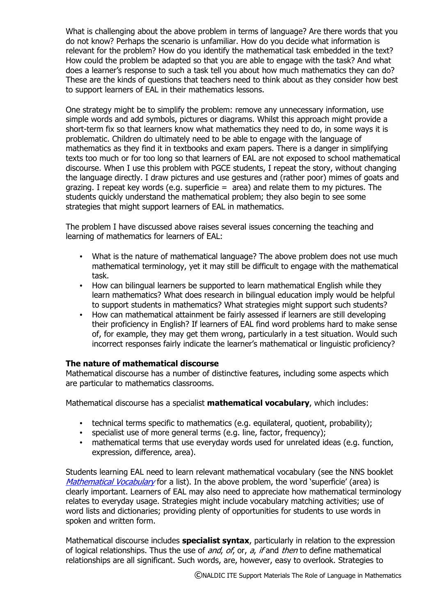What is challenging about the above problem in terms of language? Are there words that you do not know? Perhaps the scenario is unfamiliar. How do you decide what information is relevant for the problem? How do you identify the mathematical task embedded in the text? How could the problem be adapted so that you are able to engage with the task? And what does a learner's response to such a task tell you about how much mathematics they can do? These are the kinds of questions that teachers need to think about as they consider how best to support learners of EAL in their mathematics lessons.

One strategy might be to simplify the problem: remove any unnecessary information, use simple words and add symbols, pictures or diagrams. Whilst this approach might provide a short-term fix so that learners know what mathematics they need to do, in some ways it is problematic. Children do ultimately need to be able to engage with the language of mathematics as they find it in textbooks and exam papers. There is a danger in simplifying texts too much or for too long so that learners of EAL are not exposed to school mathematical discourse. When I use this problem with PGCE students, I repeat the story, without changing the language directly. I draw pictures and use gestures and (rather poor) mimes of goats and grazing. I repeat key words (e.g. superficie = area) and relate them to my pictures. The students quickly understand the mathematical problem; they also begin to see some strategies that might support learners of EAL in mathematics.

The problem I have discussed above raises several issues concerning the teaching and learning of mathematics for learners of EAL:

- What is the nature of mathematical language? The above problem does not use much mathematical terminology, yet it may still be difficult to engage with the mathematical task.
- How can bilingual learners be supported to learn mathematical English while they learn mathematics? What does research in bilingual education imply would be helpful to support students in mathematics? What strategies might support such students?
- How can mathematical attainment be fairly assessed if learners are still developing their proficiency in English? If learners of EAL find word problems hard to make sense of, for example, they may get them wrong, particularly in a test situation. Would such incorrect responses fairly indicate the learner's mathematical or linguistic proficiency?

#### **The nature of mathematical discourse**

Mathematical discourse has a number of distinctive features, including some aspects which are particular to mathematics classrooms.

Mathematical discourse has a specialist **mathematical vocabulary**, which includes:

- technical terms specific to mathematics (e.g. equilateral, quotient, probability);
- specialist use of more general terms (e.g. line, factor, frequency);
- mathematical terms that use everyday words used for unrelated ideas (e.g. function, expression, difference, area).

Students learning EAL need to learn relevant mathematical vocabulary (see the NNS booklet Mathematical Vocabulary for a list). In the above problem, the word 'superficie' (area) is clearly important. Learners of EAL may also need to appreciate how mathematical terminology relates to everyday usage. Strategies might include vocabulary matching activities; use of word lists and dictionaries; providing plenty of opportunities for students to use words in spoken and written form.

Mathematical discourse includes **specialist syntax**, particularly in relation to the expression of logical relationships. Thus the use of and, of, or, a, if and then to define mathematical relationships are all significant. Such words, are, however, easy to overlook. Strategies to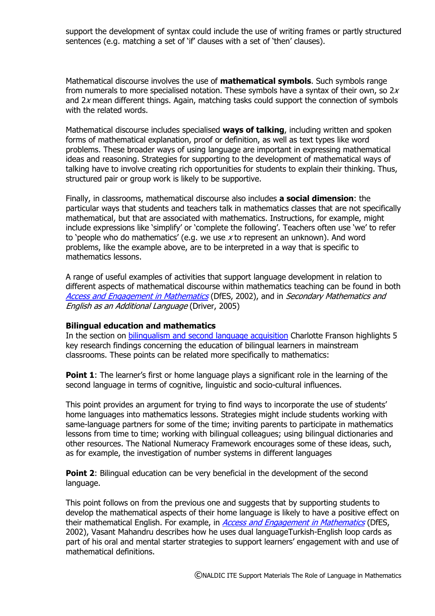support the development of syntax could include the use of writing frames or partly structured sentences (e.g. matching a set of 'if' clauses with a set of 'then' clauses).

Mathematical discourse involves the use of **mathematical symbols**. Such symbols range from numerals to more specialised notation. These symbols have a syntax of their own, so  $2x$ and  $2x$  mean different things. Again, matching tasks could support the connection of symbols with the related words.

Mathematical discourse includes specialised **ways of talking**, including written and spoken forms of mathematical explanation, proof or definition, as well as text types like word problems. These broader ways of using language are important in expressing mathematical ideas and reasoning. Strategies for supporting to the development of mathematical ways of talking have to involve creating rich opportunities for students to explain their thinking. Thus, structured pair or group work is likely to be supportive.

Finally, in classrooms, mathematical discourse also includes **a social dimension**: the particular ways that students and teachers talk in mathematics classes that are not specifically mathematical, but that are associated with mathematics. Instructions, for example, might include expressions like 'simplify' or 'complete the following'. Teachers often use 'we' to refer to 'people who do mathematics' (e.g. we use  $x$  to represent an unknown). And word problems, like the example above, are to be interpreted in a way that is specific to mathematics lessons.

A range of useful examples of activities that support language development in relation to different aspects of mathematical discourse within mathematics teaching can be found in both Access and Engagement in Mathematics (DfES, 2002), and in Secondary Mathematics and English as an Additional Language (Driver, 2005)

#### **Bilingual education and mathematics**

In the section on bilingualism and second language acquisition Charlotte Franson highlights 5 key research findings concerning the education of bilingual learners in mainstream classrooms. These points can be related more specifically to mathematics:

**Point 1**: The learner's first or home language plays a significant role in the learning of the second language in terms of cognitive, linguistic and socio-cultural influences.

This point provides an argument for trying to find ways to incorporate the use of students' home languages into mathematics lessons. Strategies might include students working with same-language partners for some of the time; inviting parents to participate in mathematics lessons from time to time; working with bilingual colleagues; using bilingual dictionaries and other resources. The National Numeracy Framework encourages some of these ideas, such, as for example, the investigation of number systems in different languages

**Point 2:** Bilingual education can be very beneficial in the development of the second language.

This point follows on from the previous one and suggests that by supporting students to develop the mathematical aspects of their home language is likely to have a positive effect on their mathematical English. For example, in Access and Engagement in Mathematics (DfES, 2002), Vasant Mahandru describes how he uses dual languageTurkish-English loop cards as part of his oral and mental starter strategies to support learners' engagement with and use of mathematical definitions.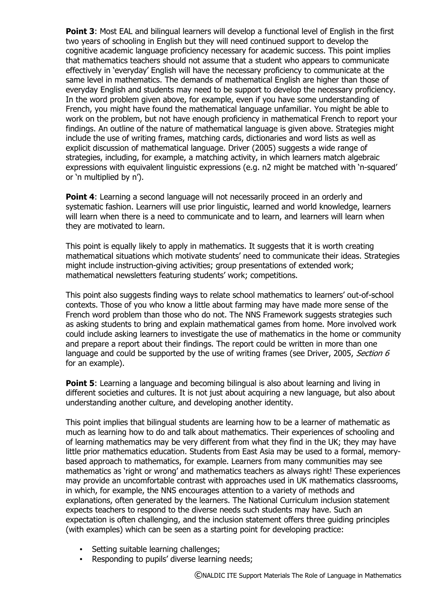**Point 3**: Most EAL and bilingual learners will develop a functional level of English in the first two years of schooling in English but they will need continued support to develop the cognitive academic language proficiency necessary for academic success. This point implies that mathematics teachers should not assume that a student who appears to communicate effectively in 'everyday' English will have the necessary proficiency to communicate at the same level in mathematics. The demands of mathematical English are higher than those of everyday English and students may need to be support to develop the necessary proficiency. In the word problem given above, for example, even if you have some understanding of French, you might have found the mathematical language unfamiliar. You might be able to work on the problem, but not have enough proficiency in mathematical French to report your findings. An outline of the nature of mathematical language is given above. Strategies might include the use of writing frames, matching cards, dictionaries and word lists as well as explicit discussion of mathematical language. Driver (2005) suggests a wide range of strategies, including, for example, a matching activity, in which learners match algebraic expressions with equivalent linguistic expressions (e.g. n2 might be matched with 'n-squared' or 'n multiplied by n').

**Point 4:** Learning a second language will not necessarily proceed in an orderly and systematic fashion. Learners will use prior linguistic, learned and world knowledge, learners will learn when there is a need to communicate and to learn, and learners will learn when they are motivated to learn.

This point is equally likely to apply in mathematics. It suggests that it is worth creating mathematical situations which motivate students' need to communicate their ideas. Strategies might include instruction-giving activities; group presentations of extended work; mathematical newsletters featuring students' work; competitions.

This point also suggests finding ways to relate school mathematics to learners' out-of-school contexts. Those of you who know a little about farming may have made more sense of the French word problem than those who do not. The NNS Framework suggests strategies such as asking students to bring and explain mathematical games from home. More involved work could include asking learners to investigate the use of mathematics in the home or community and prepare a report about their findings. The report could be written in more than one language and could be supported by the use of writing frames (see Driver, 2005, Section 6 for an example).

**Point 5**: Learning a language and becoming bilingual is also about learning and living in different societies and cultures. It is not just about acquiring a new language, but also about understanding another culture, and developing another identity.

This point implies that bilingual students are learning how to be a learner of mathematic as much as learning how to do and talk about mathematics. Their experiences of schooling and of learning mathematics may be very different from what they find in the UK; they may have little prior mathematics education. Students from East Asia may be used to a formal, memorybased approach to mathematics, for example. Learners from many communities may see mathematics as 'right or wrong' and mathematics teachers as always right! These experiences may provide an uncomfortable contrast with approaches used in UK mathematics classrooms, in which, for example, the NNS encourages attention to a variety of methods and explanations, often generated by the learners. The National Curriculum inclusion statement expects teachers to respond to the diverse needs such students may have. Such an expectation is often challenging, and the inclusion statement offers three guiding principles (with examples) which can be seen as a starting point for developing practice:

- Setting suitable learning challenges;
- Responding to pupils' diverse learning needs;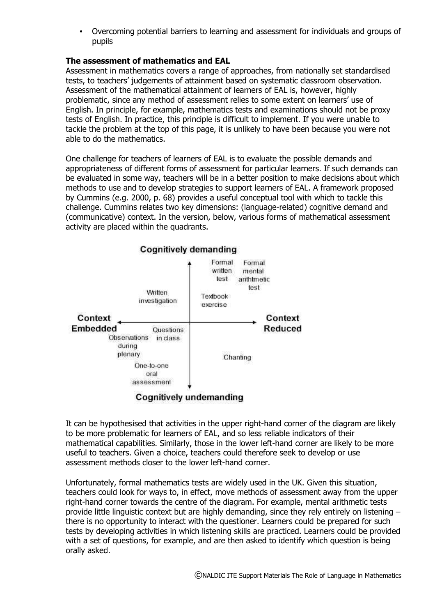• Overcoming potential barriers to learning and assessment for individuals and groups of pupils

# **The assessment of mathematics and EAL**

Assessment in mathematics covers a range of approaches, from nationally set standardised tests, to teachers' judgements of attainment based on systematic classroom observation. Assessment of the mathematical attainment of learners of EAL is, however, highly problematic, since any method of assessment relies to some extent on learners' use of English. In principle, for example, mathematics tests and examinations should not be proxy tests of English. In practice, this principle is difficult to implement. If you were unable to tackle the problem at the top of this page, it is unlikely to have been because you were not able to do the mathematics.

One challenge for teachers of learners of EAL is to evaluate the possible demands and appropriateness of different forms of assessment for particular learners. If such demands can be evaluated in some way, teachers will be in a better position to make decisions about which methods to use and to develop strategies to support learners of EAL. A framework proposed by Cummins (e.g. 2000, p. 68) provides a useful conceptual tool with which to tackle this challenge. Cummins relates two key dimensions: (language-related) cognitive demand and (communicative) context. In the version, below, various forms of mathematical assessment activity are placed within the quadrants.



# Cognitively undemanding

It can be hypothesised that activities in the upper right-hand corner of the diagram are likely to be more problematic for learners of EAL, and so less reliable indicators of their mathematical capabilities. Similarly, those in the lower left-hand corner are likely to be more useful to teachers. Given a choice, teachers could therefore seek to develop or use assessment methods closer to the lower left-hand corner.

Unfortunately, formal mathematics tests are widely used in the UK. Given this situation, teachers could look for ways to, in effect, move methods of assessment away from the upper right-hand corner towards the centre of the diagram. For example, mental arithmetic tests provide little linguistic context but are highly demanding, since they rely entirely on listening – there is no opportunity to interact with the questioner. Learners could be prepared for such tests by developing activities in which listening skills are practiced. Learners could be provided with a set of questions, for example, and are then asked to identify which question is being orally asked.